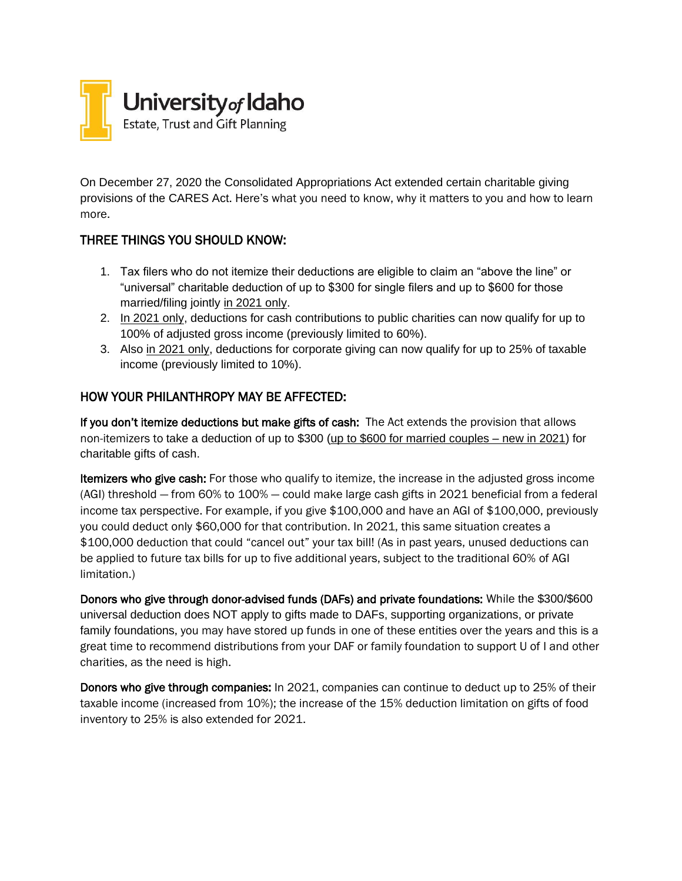

On December 27, 2020 the Consolidated Appropriations Act extended certain charitable giving provisions of the CARES Act. Here's what you need to know, why it matters to you and how to learn more.

### THREE THINGS YOU SHOULD KNOW:

- 1. Tax filers who do not itemize their deductions are eligible to claim an "above the line" or "universal" charitable deduction of up to \$300 for single filers and up to \$600 for those married/filing jointly in 2021 only.
- 2. In 2021 only, deductions for cash contributions to public charities can now qualify for up to 100% of adjusted gross income (previously limited to 60%).
- 3. Also in 2021 only, deductions for corporate giving can now qualify for up to 25% of taxable income (previously limited to 10%).

### HOW YOUR PHILANTHROPY MAY BE AFFECTED:

If you don't itemize deductions but make gifts of cash: The Act extends the provision that allows non-itemizers to take a deduction of up to \$300 (up to \$600 for married couples – new in 2021) for charitable gifts of cash.

Itemizers who give cash: For those who qualify to itemize, the increase in the adjusted gross income (AGI) threshold — from 60% to 100% — could make large cash gifts in 2021 beneficial from a federal income tax perspective. For example, if you give \$100,000 and have an AGI of \$100,000, previously you could deduct only \$60,000 for that contribution. In 2021, this same situation creates a \$100,000 deduction that could "cancel out" your tax bill! (As in past years, unused deductions can be applied to future tax bills for up to five additional years, subject to the traditional 60% of AGI limitation.)

Donors who give through donor-advised funds (DAFs) and private foundations: While the \$300/\$600 universal deduction does NOT apply to gifts made to DAFs, supporting organizations, or private family foundations, you may have stored up funds in one of these entities over the years and this is a great time to recommend distributions from your DAF or family foundation to support U of I and other charities, as the need is high.

Donors who give through companies: In 2021, companies can continue to deduct up to 25% of their taxable income (increased from 10%); the increase of the 15% deduction limitation on gifts of food inventory to 25% is also extended for 2021.